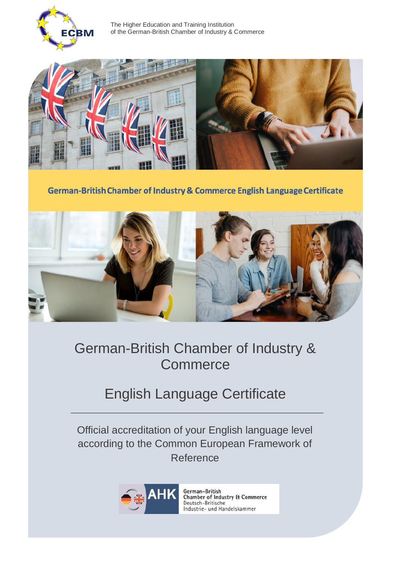

 The Higher Education and Training Institution of the German-British Chamber of Industry & Commerce



German-British Chamber of Industry & Commerce English Language Certificate



## German-British Chamber of Industry & **Commerce**

## English Language Certificate

Official accreditation of your English language level according to the Common European Framework of Reference



German-British **Chamber of Industry & Commerce** Deutsch-Britische Industrie- und Handelskammer